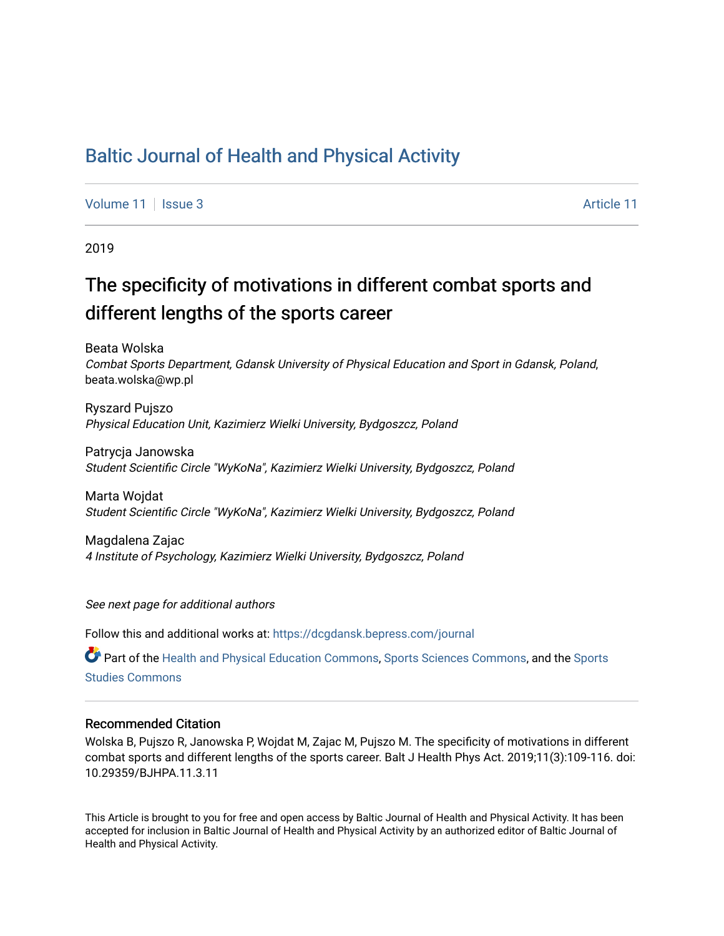## [Baltic Journal of Health and Physical Activity](https://dcgdansk.bepress.com/journal)

[Volume 11](https://dcgdansk.bepress.com/journal/vol11) | [Issue 3](https://dcgdansk.bepress.com/journal/vol11/iss3) Article 11

2019

# The specificity of motivations in different combat sports and different lengths of the sports career

Beata Wolska Combat Sports Department, Gdansk University of Physical Education and Sport in Gdansk, Poland, beata.wolska@wp.pl

Ryszard Pujszo Physical Education Unit, Kazimierz Wielki University, Bydgoszcz, Poland

Patrycja Janowska Student Scientific Circle "WyKoNa", Kazimierz Wielki University, Bydgoszcz, Poland

Marta Wojdat Student Scientific Circle "WyKoNa", Kazimierz Wielki University, Bydgoszcz, Poland

Magdalena Zajac 4 Institute of Psychology, Kazimierz Wielki University, Bydgoszcz, Poland

See next page for additional authors

Follow this and additional works at: [https://dcgdansk.bepress.com/journal](https://dcgdansk.bepress.com/journal?utm_source=dcgdansk.bepress.com%2Fjournal%2Fvol11%2Fiss3%2F11&utm_medium=PDF&utm_campaign=PDFCoverPages)

Part of the [Health and Physical Education Commons](http://network.bepress.com/hgg/discipline/1327?utm_source=dcgdansk.bepress.com%2Fjournal%2Fvol11%2Fiss3%2F11&utm_medium=PDF&utm_campaign=PDFCoverPages), [Sports Sciences Commons](http://network.bepress.com/hgg/discipline/759?utm_source=dcgdansk.bepress.com%2Fjournal%2Fvol11%2Fiss3%2F11&utm_medium=PDF&utm_campaign=PDFCoverPages), and the Sports [Studies Commons](http://network.bepress.com/hgg/discipline/1198?utm_source=dcgdansk.bepress.com%2Fjournal%2Fvol11%2Fiss3%2F11&utm_medium=PDF&utm_campaign=PDFCoverPages) 

#### Recommended Citation

Wolska B, Pujszo R, Janowska P, Wojdat M, Zajac M, Pujszo M. The specificity of motivations in different combat sports and different lengths of the sports career. Balt J Health Phys Act. 2019;11(3):109-116. doi: 10.29359/BJHPA.11.3.11

This Article is brought to you for free and open access by Baltic Journal of Health and Physical Activity. It has been accepted for inclusion in Baltic Journal of Health and Physical Activity by an authorized editor of Baltic Journal of Health and Physical Activity.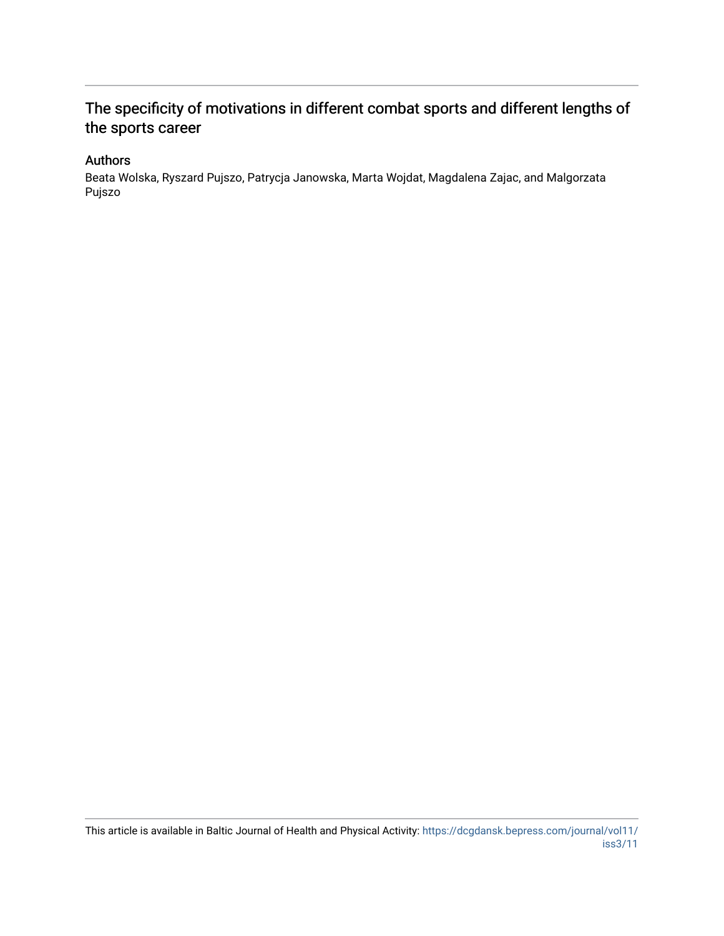### The specificity of motivations in different combat sports and different lengths of the sports career

#### Authors

Beata Wolska, Ryszard Pujszo, Patrycja Janowska, Marta Wojdat, Magdalena Zajac, and Malgorzata Pujszo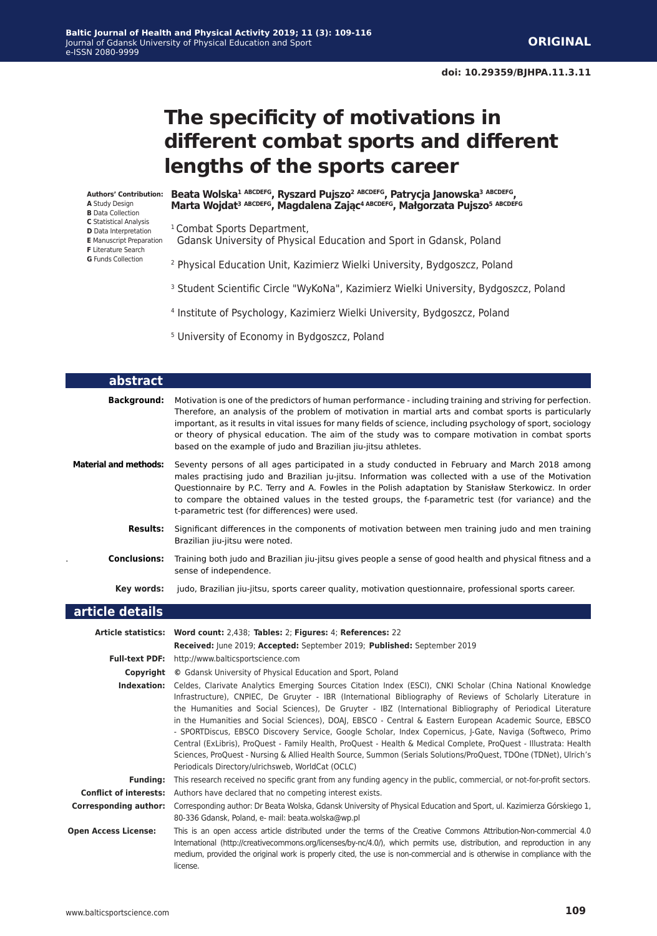# **The specificity of motivations in different combat sports and different lengths of the sports career**

**Authors' Contribution: A** Study Design **B** Data Collection

- **C** Statistical Analysis
- **D** Data Interpretation
- **E** Manuscript Preparation
- **F** Literature Search
- **G** Funds Collection

ı

Г

**Beata Wolska1 ABCDEFG, Ryszard Pujszo2 ABCDEFG, Patrycja Janowska3 ABCDEFG, Marta Wojdat3 ABCDEFG, Magdalena Zając4 ABCDEFG, Małgorzata Pujszo<sup>5</sup> ABCDEFG** 

<sup>1</sup> Combat Sports Department,

- Gdansk University of Physical Education and Sport in Gdansk, Poland
- 2 Physical Education Unit, Kazimierz Wielki University, Bydgoszcz, Poland
- <sup>3</sup> Student Scientific Circle "WyKoNa", Kazimierz Wielki University, Bydgoszcz, Poland
- 4 Institute of Psychology, Kazimierz Wielki University, Bydgoszcz, Poland
- 5 University of Economy in Bydgoszcz, Poland

| abstract                     |                                                                                                                                                                                                                                                                                                                                                                                                                                                                                                                                                                                                                                                                                                                                                                                                                                                                           |
|------------------------------|---------------------------------------------------------------------------------------------------------------------------------------------------------------------------------------------------------------------------------------------------------------------------------------------------------------------------------------------------------------------------------------------------------------------------------------------------------------------------------------------------------------------------------------------------------------------------------------------------------------------------------------------------------------------------------------------------------------------------------------------------------------------------------------------------------------------------------------------------------------------------|
| <b>Background:</b>           | Motivation is one of the predictors of human performance - including training and striving for perfection.<br>Therefore, an analysis of the problem of motivation in martial arts and combat sports is particularly<br>important, as it results in vital issues for many fields of science, including psychology of sport, sociology<br>or theory of physical education. The aim of the study was to compare motivation in combat sports<br>based on the example of judo and Brazilian jiu-jitsu athletes.                                                                                                                                                                                                                                                                                                                                                                |
| <b>Material and methods:</b> | Seventy persons of all ages participated in a study conducted in February and March 2018 among<br>males practising judo and Brazilian ju-jitsu. Information was collected with a use of the Motivation<br>Questionnaire by P.C. Terry and A. Fowles in the Polish adaptation by Stanisław Sterkowicz. In order<br>to compare the obtained values in the tested groups, the f-parametric test (for variance) and the<br>t-parametric test (for differences) were used.                                                                                                                                                                                                                                                                                                                                                                                                     |
| <b>Results:</b>              | Significant differences in the components of motivation between men training judo and men training<br>Brazilian jiu-jitsu were noted.                                                                                                                                                                                                                                                                                                                                                                                                                                                                                                                                                                                                                                                                                                                                     |
| <b>Conclusions:</b>          | Training both judo and Brazilian jiu-jitsu gives people a sense of good health and physical fitness and a<br>sense of independence.                                                                                                                                                                                                                                                                                                                                                                                                                                                                                                                                                                                                                                                                                                                                       |
| Key words:                   | judo, Brazilian jiu-jitsu, sports career quality, motivation questionnaire, professional sports career.                                                                                                                                                                                                                                                                                                                                                                                                                                                                                                                                                                                                                                                                                                                                                                   |
| article details              |                                                                                                                                                                                                                                                                                                                                                                                                                                                                                                                                                                                                                                                                                                                                                                                                                                                                           |
|                              |                                                                                                                                                                                                                                                                                                                                                                                                                                                                                                                                                                                                                                                                                                                                                                                                                                                                           |
|                              | Article statistics: Word count: 2,438; Tables: 2; Figures: 4; References: 22                                                                                                                                                                                                                                                                                                                                                                                                                                                                                                                                                                                                                                                                                                                                                                                              |
|                              | Received: June 2019; Accepted: September 2019; Published: September 2019                                                                                                                                                                                                                                                                                                                                                                                                                                                                                                                                                                                                                                                                                                                                                                                                  |
|                              | Full-text PDF: http://www.balticsportscience.com<br><b>Copyright</b> © Gdansk University of Physical Education and Sport, Poland                                                                                                                                                                                                                                                                                                                                                                                                                                                                                                                                                                                                                                                                                                                                          |
|                              | Indexation: Celdes, Clarivate Analytics Emerging Sources Citation Index (ESCI), CNKI Scholar (China National Knowledge<br>Infrastructure), CNPIEC, De Gruyter - IBR (International Bibliography of Reviews of Scholarly Literature in<br>the Humanities and Social Sciences), De Gruyter - IBZ (International Bibliography of Periodical Literature<br>in the Humanities and Social Sciences), DOAJ, EBSCO - Central & Eastern European Academic Source, EBSCO<br>- SPORTDiscus, EBSCO Discovery Service, Google Scholar, Index Copernicus, J-Gate, Naviga (Softweco, Primo<br>Central (ExLibris), ProQuest - Family Health, ProQuest - Health & Medical Complete, ProQuest - Illustrata: Health<br>Sciences, ProQuest - Nursing & Allied Health Source, Summon (Serials Solutions/ProQuest, TDOne (TDNet), Ulrich's<br>Periodicals Directory/ulrichsweb, WorldCat (OCLC) |
|                              | Funding: This research received no specific grant from any funding agency in the public, commercial, or not-for-profit sectors.                                                                                                                                                                                                                                                                                                                                                                                                                                                                                                                                                                                                                                                                                                                                           |
|                              | <b>Conflict of interests:</b> Authors have declared that no competing interest exists.                                                                                                                                                                                                                                                                                                                                                                                                                                                                                                                                                                                                                                                                                                                                                                                    |
| <b>Corresponding author:</b> | Corresponding author: Dr Beata Wolska, Gdansk University of Physical Education and Sport, ul. Kazimierza Górskiego 1,<br>80-336 Gdansk, Poland, e- mail: beata.wolska@wp.pl                                                                                                                                                                                                                                                                                                                                                                                                                                                                                                                                                                                                                                                                                               |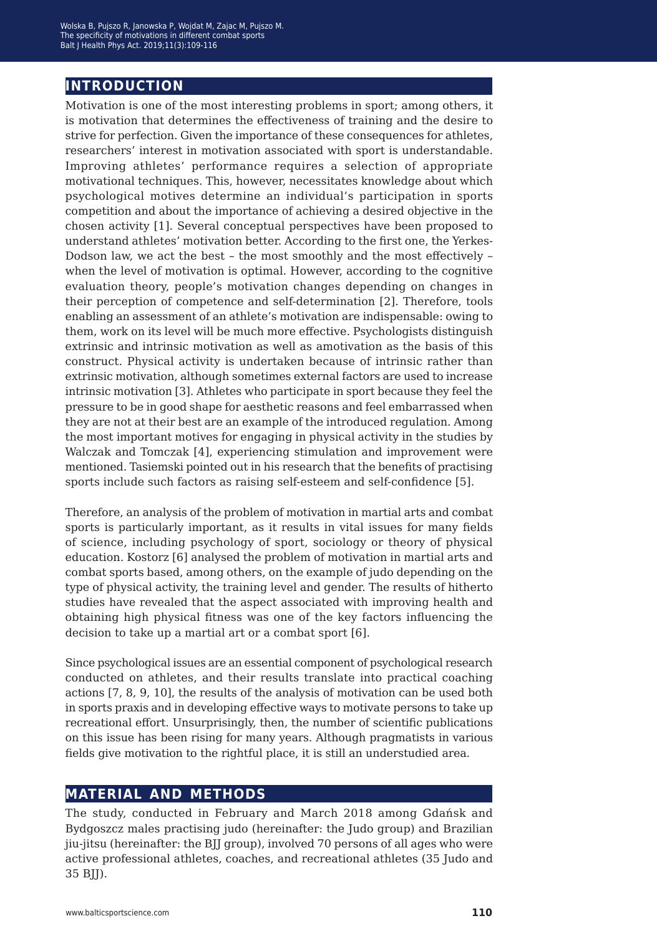### **introduction**

Motivation is one of the most interesting problems in sport; among others, it is motivation that determines the effectiveness of training and the desire to strive for perfection. Given the importance of these consequences for athletes, researchers' interest in motivation associated with sport is understandable. Improving athletes' performance requires a selection of appropriate motivational techniques. This, however, necessitates knowledge about which psychological motives determine an individual's participation in sports competition and about the importance of achieving a desired objective in the chosen activity [1]. Several conceptual perspectives have been proposed to understand athletes' motivation better. According to the first one, the Yerkes-Dodson law, we act the best – the most smoothly and the most effectively – when the level of motivation is optimal. However, according to the cognitive evaluation theory, people's motivation changes depending on changes in their perception of competence and self-determination [2]. Therefore, tools enabling an assessment of an athlete's motivation are indispensable: owing to them, work on its level will be much more effective. Psychologists distinguish extrinsic and intrinsic motivation as well as amotivation as the basis of this construct. Physical activity is undertaken because of intrinsic rather than extrinsic motivation, although sometimes external factors are used to increase intrinsic motivation [3]. Athletes who participate in sport because they feel the pressure to be in good shape for aesthetic reasons and feel embarrassed when they are not at their best are an example of the introduced regulation. Among the most important motives for engaging in physical activity in the studies by Walczak and Tomczak [4], experiencing stimulation and improvement were mentioned. Tasiemski pointed out in his research that the benefits of practising sports include such factors as raising self-esteem and self-confidence [5].

Therefore, an analysis of the problem of motivation in martial arts and combat sports is particularly important, as it results in vital issues for many fields of science, including psychology of sport, sociology or theory of physical education. Kostorz [6] analysed the problem of motivation in martial arts and combat sports based, among others, on the example of judo depending on the type of physical activity, the training level and gender. The results of hitherto studies have revealed that the aspect associated with improving health and obtaining high physical fitness was one of the key factors influencing the decision to take up a martial art or a combat sport [6].

Since psychological issues are an essential component of psychological research conducted on athletes, and their results translate into practical coaching actions [7, 8, 9, 10], the results of the analysis of motivation can be used both in sports praxis and in developing effective ways to motivate persons to take up recreational effort. Unsurprisingly, then, the number of scientific publications on this issue has been rising for many years. Although pragmatists in various fields give motivation to the rightful place, it is still an understudied area.

#### **material and methods**

The study, conducted in February and March 2018 among Gdańsk and Bydgoszcz males practising judo (hereinafter: the Judo group) and Brazilian jiu-jitsu (hereinafter: the BJJ group), involved 70 persons of all ages who were active professional athletes, coaches, and recreational athletes (35 Judo and 35 BJJ).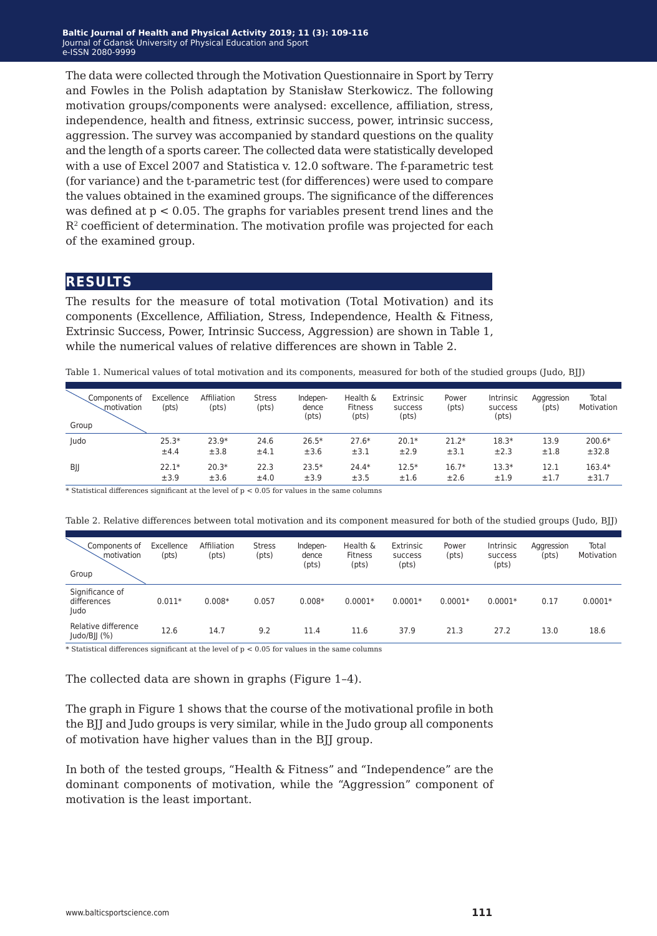The data were collected through the Motivation Questionnaire in Sport by Terry and Fowles in the Polish adaptation by Stanisław Sterkowicz. The following motivation groups/components were analysed: excellence, affiliation, stress, independence, health and fitness, extrinsic success, power, intrinsic success, aggression. The survey was accompanied by standard questions on the quality and the length of a sports career. The collected data were statistically developed with a use of Excel 2007 and Statistica v. 12.0 software. The f-parametric test (for variance) and the t-parametric test (for differences) were used to compare the values obtained in the examined groups. The significance of the differences was defined at  $p < 0.05$ . The graphs for variables present trend lines and the R2 coefficient of determination. The motivation profile was projected for each of the examined group.

#### **results**

The results for the measure of total motivation (Total Motivation) and its components (Excellence, Affiliation, Stress, Independence, Health & Fitness, Extrinsic Success, Power, Intrinsic Success, Aggression) are shown in Table 1, while the numerical values of relative differences are shown in Table 2.

Table 1. Numerical values of total motivation and its components, measured for both of the studied groups (Judo, BJJ)

| Components of<br><i>motivation</i><br>Group | Excellence<br>(pts) | Affiliation<br>(pts) | <b>Stress</b><br>(pts) | Indepen-<br>dence<br>(pts) | Health &<br><b>Fitness</b><br>(pts) | Extrinsic<br>success<br>(pts) | Power<br>(pts) | Intrinsic<br>success<br>(pts) | Aggression<br>(pts) | Total<br>Motivation |
|---------------------------------------------|---------------------|----------------------|------------------------|----------------------------|-------------------------------------|-------------------------------|----------------|-------------------------------|---------------------|---------------------|
| Judo                                        | $25.3*$             | $23.9*$              | 24.6                   | $26.5*$                    | $27.6*$                             | $20.1*$                       | $21.2*$        | $18.3*$                       | 13.9                | 200.6*              |
|                                             | ±4.4                | ±3.8                 | ±4.1                   | ±3.6                       | ±3.1                                | ±2.9                          | ±3.1           | ±2.3                          | ±1.8                | ±32.8               |
| BJJ                                         | $22.1*$             | $20.3*$              | 22.3                   | $23.5*$                    | $24.4*$                             | $12.5*$                       | $16.7*$        | $13.3*$                       | 12.1                | 163.4*              |
|                                             | ±3.9                | ±3.6                 | ±4.0                   | ±3.9                       | ±3.5                                | ±1.6                          | ±2.6           | ±1.9                          | ±1.7                | ±31.7               |

 $*$  Statistical differences significant at the level of  $p < 0.05$  for values in the same columns

| Components of<br>motivation<br>Group   | Excellence<br>(pts) | Affiliation<br>(pts) | <b>Stress</b><br>(pts) | Indepen-<br>dence<br>(pts) | Health &<br><b>Fitness</b><br>(pts) | Extrinsic<br><b>SUCCESS</b><br>(pts) | Power<br>(pts) | Intrinsic<br><b>SUCCESS</b><br>(pts) | Aggression<br>(pts) | Total<br>Motivation |
|----------------------------------------|---------------------|----------------------|------------------------|----------------------------|-------------------------------------|--------------------------------------|----------------|--------------------------------------|---------------------|---------------------|
| Significance of<br>differences<br>Judo | $0.011*$            | $0.008*$             | 0.057                  | $0.008*$                   | $0.0001*$                           | $0.0001*$                            | $0.0001*$      | $0.0001*$                            | 0.17                | $0.0001*$           |
| Relative difference<br>Judo/BJJ $(\%)$ | 12.6                | 14.7                 | 9.2                    | 11.4                       | 11.6                                | 37.9                                 | 21.3           | 27.2                                 | 13.0                | 18.6                |

Table 2. Relative differences between total motivation and its component measured for both of the studied groups (Judo, BJJ)

\* Statistical differences significant at the level of  $p < 0.05$  for values in the same columns

The collected data are shown in graphs (Figure 1–4).

The graph in Figure 1 shows that the course of the motivational profile in both the BJJ and Judo groups is very similar, while in the Judo group all components of motivation have higher values than in the BJJ group.

In both of the tested groups, "Health & Fitness" and "Independence" are the dominant components of motivation, while the "Aggression" component of motivation is the least important.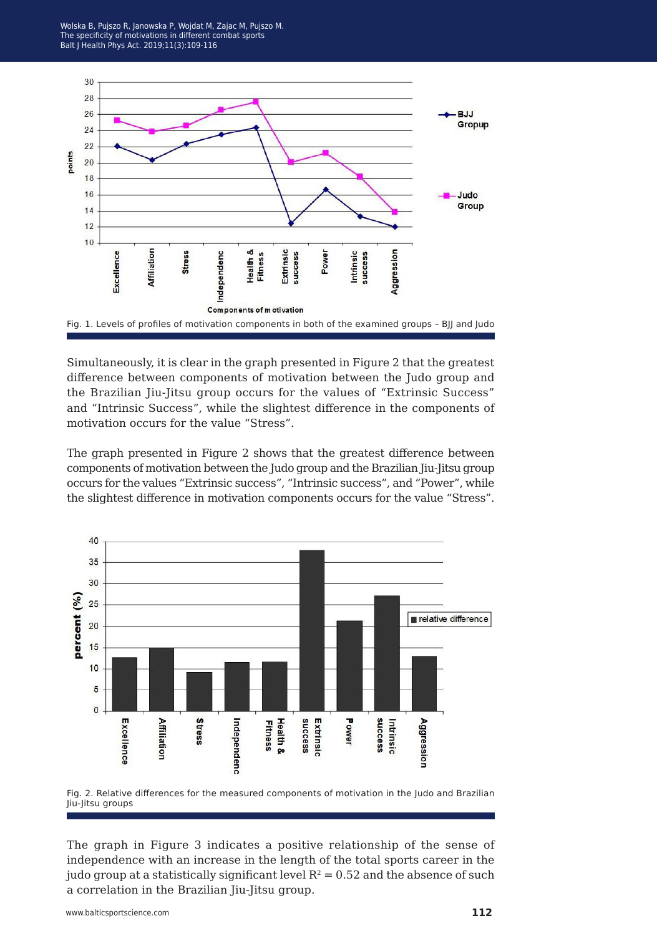



Simultaneously, it is clear in the graph presented in Figure 2 that the greatest difference between components of motivation between the Judo group and the Brazilian Jiu-Jitsu group occurs for the values of "Extrinsic Success" and "Intrinsic Success", while the slightest difference in the components of motivation occurs for the value "Stress".

The graph presented in Figure 2 shows that the greatest difference between components of motivation between the Judo group and the Brazilian Jiu-Jitsu group occurs for the values "Extrinsic success", "Intrinsic success", and "Power", while the slightest difference in motivation components occurs for the value "Stress".





The graph in Figure 3 indicates a positive relationship of the sense of independence with an increase in the length of the total sports career in the judo group at a statistically significant level  $R^2 = 0.52$  and the absence of such a correlation in the Brazilian Jiu-Jitsu group.

www.balticsportscience.com **112**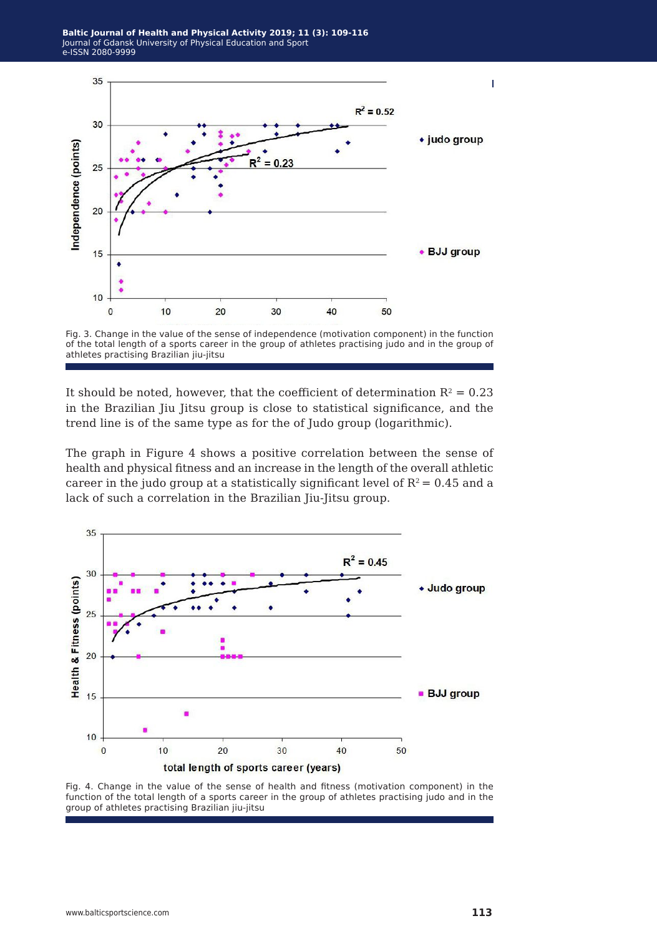

Fig. 3. Change in the value of the sense of independence (motivation component) in the function of the total length of a sports career in the group of athletes practising judo and in the group of athletes practising Brazilian jiu-jitsu

It should be noted, however, that the coefficient of determination  $R^2 = 0.23$ in the Brazilian Jiu Jitsu group is close to statistical significance, and the trend line is of the same type as for the of Judo group (logarithmic).

The graph in Figure 4 shows a positive correlation between the sense of health and physical fitness and an increase in the length of the overall athletic career in the judo group at a statistically significant level of  $R^2 = 0.45$  and a lack of such a correlation in the Brazilian Jiu-Jitsu group.



Fig. 4. Change in the value of the sense of health and fitness (motivation component) in the function of the total length of a sports career in the group of athletes practising judo and in the group of athletes practising Brazilian jiu-jitsu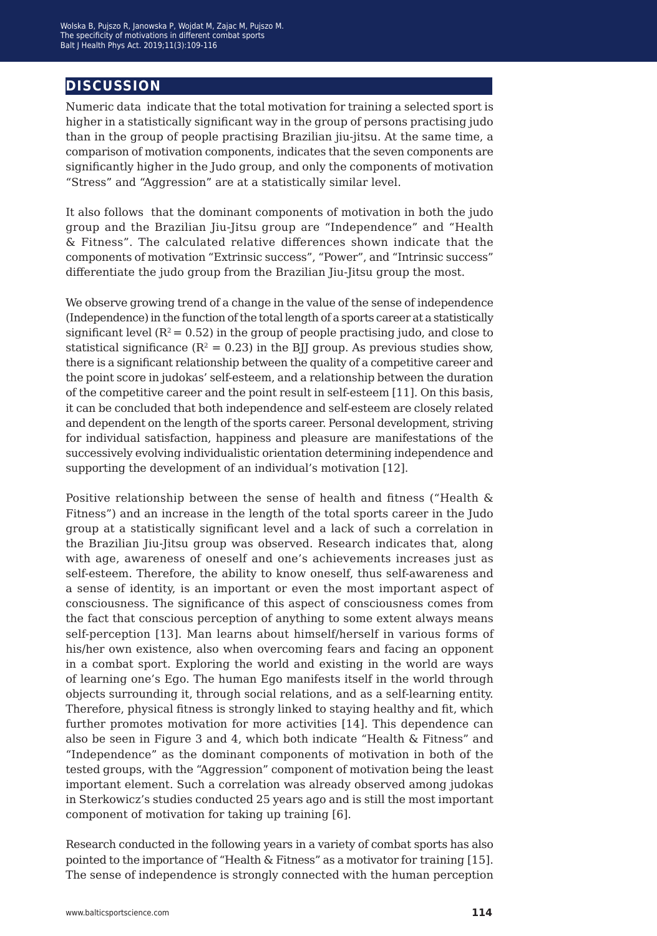#### **discussion**

Numeric data indicate that the total motivation for training a selected sport is higher in a statistically significant way in the group of persons practising judo than in the group of people practising Brazilian jiu-jitsu. At the same time, a comparison of motivation components, indicates that the seven components are significantly higher in the Judo group, and only the components of motivation "Stress" and "Aggression" are at a statistically similar level.

It also follows that the dominant components of motivation in both the judo group and the Brazilian Jiu-Jitsu group are "Independence" and "Health & Fitness". The calculated relative differences shown indicate that the components of motivation "Extrinsic success", "Power", and "Intrinsic success" differentiate the judo group from the Brazilian Jiu-Jitsu group the most.

We observe growing trend of a change in the value of the sense of independence (Independence) in the function of the total length of a sports career at a statistically significant level  $(R^2 = 0.52)$  in the group of people practising judo, and close to statistical significance ( $R^2 = 0.23$ ) in the BIJ group. As previous studies show, there is a significant relationship between the quality of a competitive career and the point score in judokas' self-esteem, and a relationship between the duration of the competitive career and the point result in self-esteem [11]. On this basis, it can be concluded that both independence and self-esteem are closely related and dependent on the length of the sports career. Personal development, striving for individual satisfaction, happiness and pleasure are manifestations of the successively evolving individualistic orientation determining independence and supporting the development of an individual's motivation [12].

Positive relationship between the sense of health and fitness ("Health & Fitness") and an increase in the length of the total sports career in the Judo group at a statistically significant level and a lack of such a correlation in the Brazilian Jiu-Jitsu group was observed. Research indicates that, along with age, awareness of oneself and one's achievements increases just as self-esteem. Therefore, the ability to know oneself, thus self-awareness and a sense of identity, is an important or even the most important aspect of consciousness. The significance of this aspect of consciousness comes from the fact that conscious perception of anything to some extent always means self-perception [13]. Man learns about himself/herself in various forms of his/her own existence, also when overcoming fears and facing an opponent in a combat sport. Exploring the world and existing in the world are ways of learning one's Ego. The human Ego manifests itself in the world through objects surrounding it, through social relations, and as a self-learning entity. Therefore, physical fitness is strongly linked to staying healthy and fit, which further promotes motivation for more activities [14]. This dependence can also be seen in Figure 3 and 4, which both indicate "Health & Fitness" and "Independence" as the dominant components of motivation in both of the tested groups, with the "Aggression" component of motivation being the least important element. Such a correlation was already observed among judokas in Sterkowicz's studies conducted 25 years ago and is still the most important component of motivation for taking up training [6].

Research conducted in the following years in a variety of combat sports has also pointed to the importance of "Health & Fitness" as a motivator for training [15]. The sense of independence is strongly connected with the human perception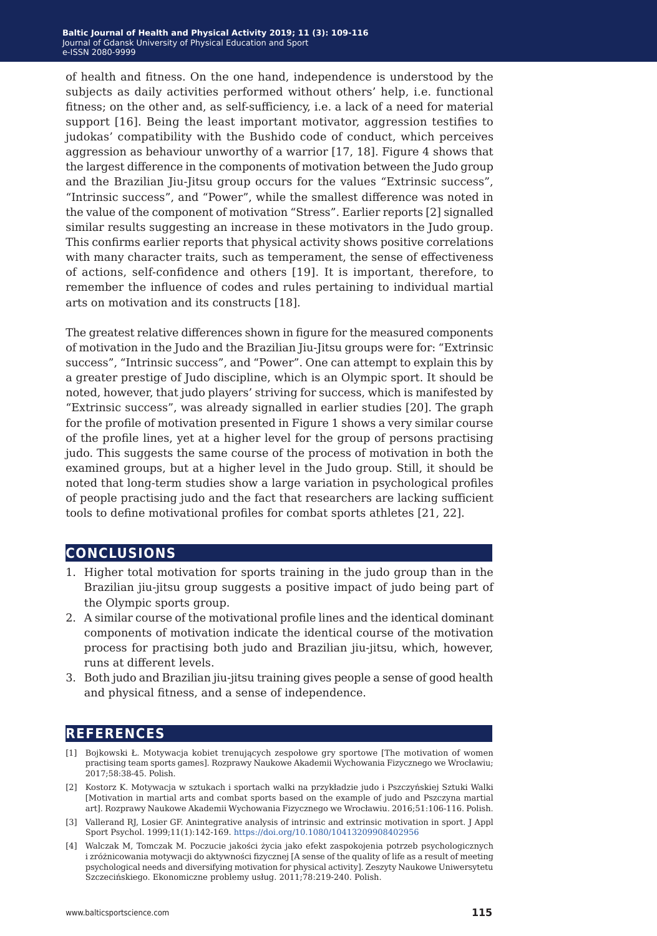of health and fitness. On the one hand, independence is understood by the subjects as daily activities performed without others' help, i.e. functional fitness; on the other and, as self-sufficiency, i.e. a lack of a need for material support [16]. Being the least important motivator, aggression testifies to judokas' compatibility with the Bushido code of conduct, which perceives aggression as behaviour unworthy of a warrior [17, 18]. Figure 4 shows that the largest difference in the components of motivation between the Judo group and the Brazilian Jiu-Jitsu group occurs for the values "Extrinsic success", "Intrinsic success", and "Power", while the smallest difference was noted in the value of the component of motivation "Stress". Earlier reports [2] signalled similar results suggesting an increase in these motivators in the Judo group. This confirms earlier reports that physical activity shows positive correlations with many character traits, such as temperament, the sense of effectiveness of actions, self-confidence and others [19]. It is important, therefore, to remember the influence of codes and rules pertaining to individual martial arts on motivation and its constructs [18].

The greatest relative differences shown in figure for the measured components of motivation in the Judo and the Brazilian Jiu-Jitsu groups were for: "Extrinsic success", "Intrinsic success", and "Power". One can attempt to explain this by a greater prestige of Judo discipline, which is an Olympic sport. It should be noted, however, that judo players' striving for success, which is manifested by "Extrinsic success", was already signalled in earlier studies [20]. The graph for the profile of motivation presented in Figure 1 shows a very similar course of the profile lines, yet at a higher level for the group of persons practising judo. This suggests the same course of the process of motivation in both the examined groups, but at a higher level in the Judo group. Still, it should be noted that long-term studies show a large variation in psychological profiles of people practising judo and the fact that researchers are lacking sufficient tools to define motivational profiles for combat sports athletes [21, 22].

#### **conclusions**

- 1. Higher total motivation for sports training in the judo group than in the Brazilian jiu-jitsu group suggests a positive impact of judo being part of the Olympic sports group.
- 2. A similar course of the motivational profile lines and the identical dominant components of motivation indicate the identical course of the motivation process for practising both judo and Brazilian jiu-jitsu, which, however, runs at different levels.
- 3. Both judo and Brazilian jiu-jitsu training gives people a sense of good health and physical fitness, and a sense of independence.

#### **references**

- [1] Bojkowski Ł. Motywacja kobiet trenujących zespołowe gry sportowe [The motivation of women practising team sports games]. Rozprawy Naukowe Akademii Wychowania Fizycznego we Wrocławiu; 2017;58:38-45. Polish.
- [2] Kostorz K. Motywacja w sztukach i sportach walki na przykładzie judo i Pszczyńskiej Sztuki Walki [Motivation in martial arts and combat sports based on the example of judo and Pszczyna martial art]. Rozprawy Naukowe Akademii Wychowania Fizycznego we Wrocławiu. 2016;51:106-116. Polish.
- [3] Vallerand RJ, Losier GF. Anintegrative analysis of intrinsic and extrinsic motivation in sport. J Appl Sport Psychol. 1999;11(1):142-169. <https://doi.org/10.1080/10413209908402956>
- [4] Walczak M, Tomczak M. Poczucie jakości życia jako efekt zaspokojenia potrzeb psychologicznych i zróżnicowania motywacji do aktywności fizycznej [A sense of the quality of life as a result of meeting psychological needs and diversifying motivation for physical activity]. Zeszyty Naukowe Uniwersytetu Szczecińskiego. Ekonomiczne problemy usług. 2011;78:219-240. Polish.